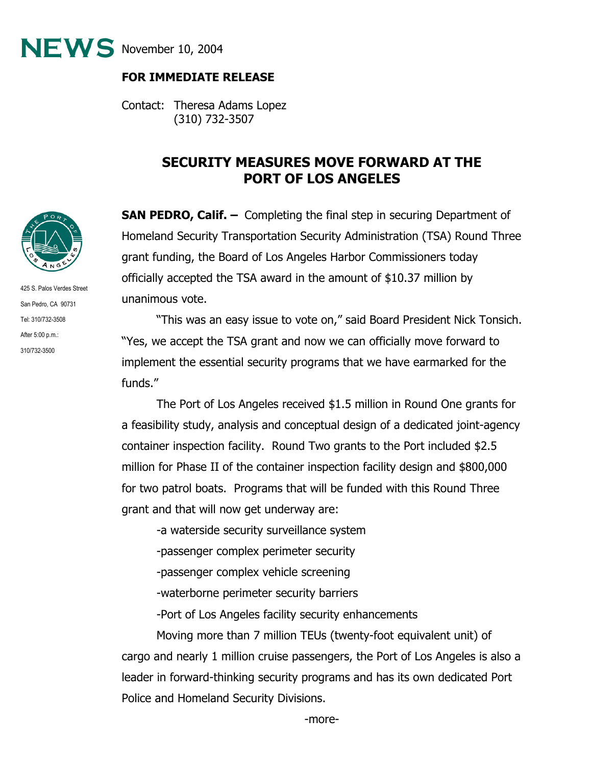

## **FOR IMMEDIATE RELEASE**

Contact: Theresa Adams Lopez (310) 732-3507

## **SECURITY MEASURES MOVE FORWARD AT THE PORT OF LOS ANGELES**

**SAN PEDRO, Calif. -** Completing the final step in securing Department of Homeland Security Transportation Security Administration (TSA) Round Three grant funding, the Board of Los Angeles Harbor Commissioners today officially accepted the TSA award in the amount of \$10.37 million by unanimous vote.

"This was an easy issue to vote on," said Board President Nick Tonsich. "Yes, we accept the TSA grant and now we can officially move forward to implement the essential security programs that we have earmarked for the funds."

 The Port of Los Angeles received \$1.5 million in Round One grants for a feasibility study, analysis and conceptual design of a dedicated joint-agency container inspection facility. Round Two grants to the Port included \$2.5 million for Phase II of the container inspection facility design and \$800,000 for two patrol boats. Programs that will be funded with this Round Three grant and that will now get underway are:

-a waterside security surveillance system

-passenger complex perimeter security

-passenger complex vehicle screening

-waterborne perimeter security barriers

-Port of Los Angeles facility security enhancements

 Moving more than 7 million TEUs (twenty-foot equivalent unit) of cargo and nearly 1 million cruise passengers, the Port of Los Angeles is also a leader in forward-thinking security programs and has its own dedicated Port Police and Homeland Security Divisions.



425 S. Palos Verdes Street San Pedro, CA 90731 Tel: 310/732-3508 After 5:00 p.m.: 310/732-3500